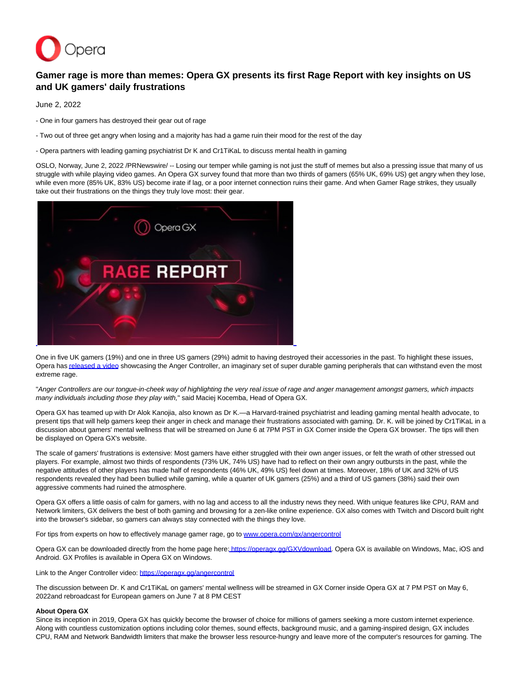

## **Gamer rage is more than memes: Opera GX presents its first Rage Report with key insights on US and UK gamers' daily frustrations**

June 2, 2022

- One in four gamers has destroyed their gear out of rage

- Two out of three get angry when losing and a majority has had a game ruin their mood for the rest of the day
- Opera partners with leading gaming psychiatrist Dr K and Cr1TiKaL to discuss mental health in gaming

OSLO, Norway, June 2, 2022 /PRNewswire/ -- Losing our temper while gaming is not just the stuff of memes but also a pressing issue that many of us struggle with while playing video games. An Opera GX survey found that more than two thirds of gamers (65% UK, 69% US) get angry when they lose, while even more (85% UK, 83% US) become irate if lag, or a poor internet connection ruins their game. And when Gamer Rage strikes, they usually take out their frustrations on the things they truly love most: their gear.



One in five UK gamers (19%) and one in three US gamers (29%) admit to having destroyed their accessories in the past. To highlight these issues, Opera ha[s released a video s](https://c212.net/c/link/?t=0&l=en&o=3555971-1&h=2796899126&u=https%3A%2F%2Foperagx.gg%2Fangercontrol&a=released+a+video)howcasing the Anger Controller, an imaginary set of super durable gaming peripherals that can withstand even the most extreme rage.

"Anger Controllers are our tongue-in-cheek way of highlighting the very real issue of rage and anger management amongst gamers, which impacts many individuals including those they play with," said Maciej Kocemba, Head of Opera GX.

Opera GX has teamed up with Dr Alok Kanojia, also known as Dr K.—a Harvard-trained psychiatrist and leading gaming mental health advocate, to present tips that will help gamers keep their anger in check and manage their frustrations associated with gaming. Dr. K. will be joined by Cr1TiKaL in a discussion about gamers' mental wellness that will be streamed on June 6 at 7PM PST in GX Corner inside the Opera GX browser. The tips will then be displayed on Opera GX's website.

The scale of gamers' frustrations is extensive: Most gamers have either struggled with their own anger issues, or felt the wrath of other stressed out players. For example, almost two thirds of respondents (73% UK, 74% US) have had to reflect on their own angry outbursts in the past, while the negative attitudes of other players has made half of respondents (46% UK, 49% US) feel down at times. Moreover, 18% of UK and 32% of US respondents revealed they had been bullied while gaming, while a quarter of UK gamers (25%) and a third of US gamers (38%) said their own aggressive comments had ruined the atmosphere.

Opera GX offers a little oasis of calm for gamers, with no lag and access to all the industry news they need. With unique features like CPU, RAM and Network limiters, GX delivers the best of both gaming and browsing for a zen-like online experience. GX also comes with Twitch and Discord built right into the browser's sidebar, so gamers can always stay connected with the things they love.

For tips from experts on how to effectively manage gamer rage, go to [www.opera.com/gx/angercontrol](https://c212.net/c/link/?t=0&l=en&o=3555971-1&h=1906290921&u=http%3A%2F%2Fwww.opera.com%2Fgx%2Fangercontrol&a=www.opera.com%2Fgx%2Fangercontrol)

Opera GX can be downloaded directly from the home page here: [https://operagx.gg/GXVdownload.](https://c212.net/c/link/?t=0&l=en&o=3555971-1&h=3475855148&u=https%3A%2F%2Foperagx.gg%2FGXVdownload&a=https%3A%2F%2Foperagx.gg%2FGXVdownload) Opera GX is available on Windows, Mac, iOS and Android. GX Profiles is available in Opera GX on Windows.

Link to the Anger Controller video: [https://operagx.gg/angercontrol](https://c212.net/c/link/?t=0&l=en&o=3555971-1&h=655021576&u=https%3A%2F%2Foperagx.gg%2Fangercontrol&a=https%3A%2F%2Foperagx.gg%2Fangercontrol)

The discussion between Dr. K and Cr1TiKaL on gamers' mental wellness will be streamed in GX Corner inside Opera GX at 7 PM PST on May 6, 2022and rebroadcast for European gamers on June 7 at 8 PM CEST

## **About Opera GX**

Since its inception in 2019, Opera GX has quickly become the browser of choice for millions of gamers seeking a more custom internet experience. Along with countless customization options including color themes, sound effects, background music, and a gaming-inspired design, GX includes CPU, RAM and Network Bandwidth limiters that make the browser less resource-hungry and leave more of the computer's resources for gaming. The